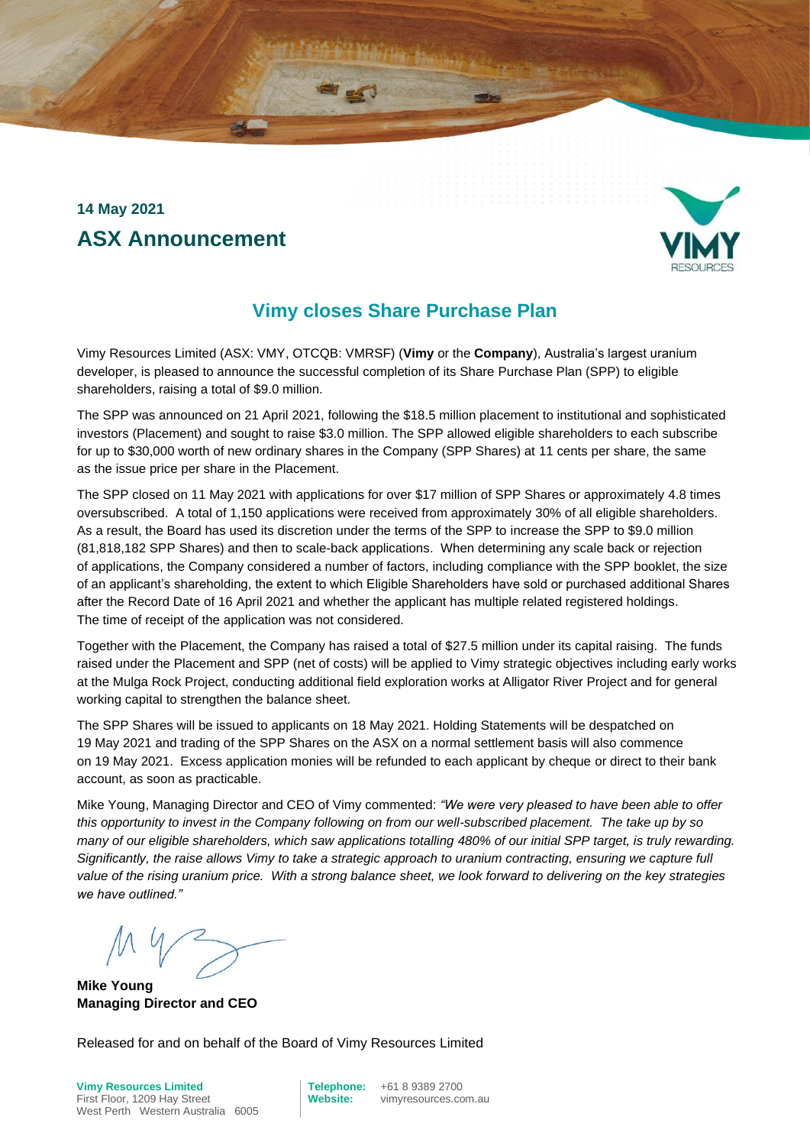### **14 May 2021 ASX Announcement**



### **Vimy closes Share Purchase Plan**

Vimy Resources Limited (ASX: VMY, OTCQB: VMRSF) (**Vimy** or the **Company**), Australia's largest uranium developer, is pleased to announce the successful completion of its Share Purchase Plan (SPP) to eligible shareholders, raising a total of \$9.0 million.

The SPP was announced on 21 April 2021, following the \$18.5 million placement to institutional and sophisticated investors (Placement) and sought to raise \$3.0 million. The SPP allowed eligible shareholders to each subscribe for up to \$30,000 worth of new ordinary shares in the Company (SPP Shares) at 11 cents per share, the same as the issue price per share in the Placement.

The SPP closed on 11 May 2021 with applications for over \$17 million of SPP Shares or approximately 4.8 times oversubscribed. A total of 1,150 applications were received from approximately 30% of all eligible shareholders. As a result, the Board has used its discretion under the terms of the SPP to increase the SPP to \$9.0 million (81,818,182 SPP Shares) and then to scale-back applications. When determining any scale back or rejection of applications, the Company considered a number of factors, including compliance with the SPP booklet, the size of an applicant's shareholding, the extent to which Eligible Shareholders have sold or purchased additional Shares after the Record Date of 16 April 2021 and whether the applicant has multiple related registered holdings. The time of receipt of the application was not considered.

Together with the Placement, the Company has raised a total of \$27.5 million under its capital raising. The funds raised under the Placement and SPP (net of costs) will be applied to Vimy strategic objectives including early works at the Mulga Rock Project, conducting additional field exploration works at Alligator River Project and for general working capital to strengthen the balance sheet.

The SPP Shares will be issued to applicants on 18 May 2021. Holding Statements will be despatched on 19 May 2021 and trading of the SPP Shares on the ASX on a normal settlement basis will also commence on 19 May 2021. Excess application monies will be refunded to each applicant by cheque or direct to their bank account, as soon as practicable.

Mike Young, Managing Director and CEO of Vimy commented: *"We were very pleased to have been able to offer this opportunity to invest in the Company following on from our well-subscribed placement. The take up by so many of our eligible shareholders, which saw applications totalling 480% of our initial SPP target, is truly rewarding. Significantly, the raise allows Vimy to take a strategic approach to uranium contracting, ensuring we capture full value of the rising uranium price. With a strong balance sheet, we look forward to delivering on the key strategies we have outlined."*

**Mike Young Managing Director and CEO**

Released for and on behalf of the Board of Vimy Resources Limited

First Floor, 1209 Hay Street **Website:** vimyresources.com.au West Perth Western Australia 6005

**Vimy Resources Limited Telephone:** +61 8 9389 2700